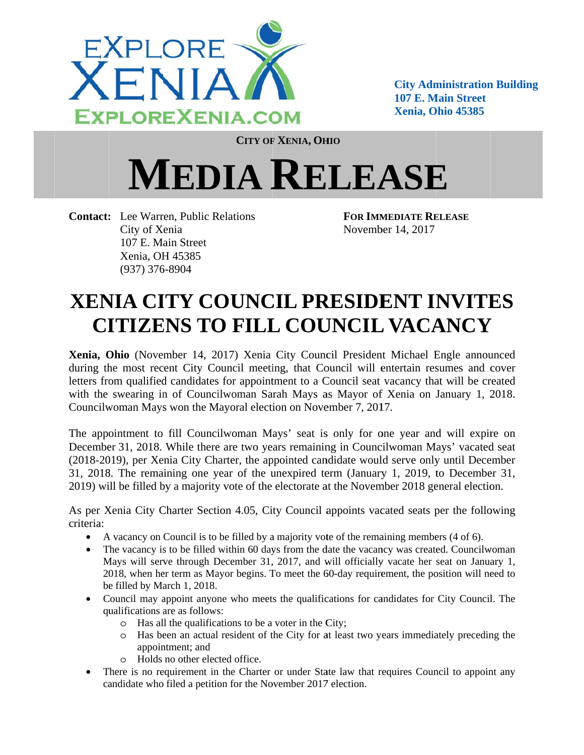

**City Administration Building** 107 E. Main Street **Xenia, O Ohio 45385 Eministration**<br> **Emin**<br> **Emin**<br> **E** 

**CITY OF F XENIA, OH HIO**

## $MEDIA$  **RELEASE**

Contact: Lee Warren, Public Relations City of X enia 107 E. Ma ain Street Xenia, OH H 45385 (937) 376 6-8904

**FOR IMM MEDIATE RE ELEASE** Novemb ber 14, 2017

## **XENIA CITY COUNCIL PRESIDENT INVITES CITIZENS TO FILL COUNCIL VACANCY**

Xenia, Ohio (November 14, 2017) Xenia City Council President Michael Engle announced during the most recent City Council meeting, that Council will entertain resumes and cover letters from qualified candidates for appointment to a Council seat vacancy that will be created with the swearing in of Councilwoman Sarah Mays as Mayor of Xenia on January 1, 2018. Councilwoman Mays won the Mayoral election on November 7, 2017.

The appointment to fill Councilwoman Mays' seat is only for one year and will expire on December 31, 2018. While there are two years remaining in Councilwoman Mays' vacated seat (2018-2019), per Xenia City Charter, the appointed candidate would serve only until December 31, 2018. The remaining one year of the unexpired term (January 1, 2019, to December 31, 2019) will be filled by a majority vote of the electorate at the November 2018 general election.

As per Xenia City Charter Section 4.05, City Council appoints vacated seats per the following criteria:

- A vacancy on Council is to be filled by a majority vote of the remaining members (4 of 6).
- The vacancy is to be filled within 60 days from the date the vacancy was created. Councilwoman Mays will serve through December 31, 2017, and will officially vacate her seat on January 1, 2018, when her term as Mayor begins. To meet the 60-day requirement, the position will need to be filled by March 1, 2018.
- Council may appoint anyone who meets the qualifications for candidates for City Council. The qualifications are as follows:
	- o Has all the qualifications to be a voter in the City;
	- o Has been an actual resident of the City for at least two years immediately preceding the appointment; and
	- o Holds no other elected office.
- There is no requirement in the Charter or under State law that requires Council to appoint any candidate who filed a petition for the November 2017 election.